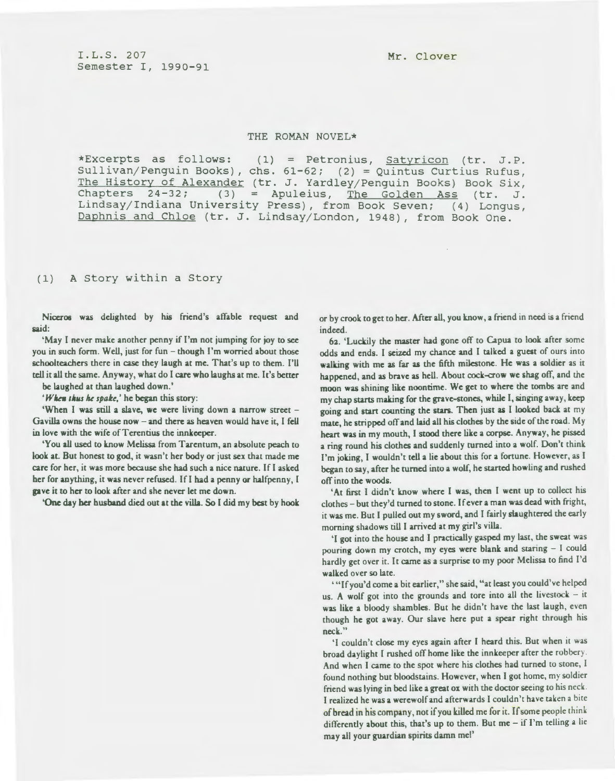I.L.S. 207 Mr. Clover Semester I, 1990-91

## THE ROMAN NOVEL\*

\*Excerpts as follows: (1) = Petronius, Satyricon (tr. J.P. Sullivan/Penguin Books), chs.  $61-62$ ; (2) = Quintus Curtius Rufus, The History of Alexander (tr. J. Yardley/Penguin Books) Book Six,<br>Chapters 24-32; (3) = Apuleius, The Golden Ass (tr. J.  $(3)$  = Apuleius, The Golden Ass (tr. J. Lindsay/Indiana University Press), from Book Seven; (4) Longus, Daphnis and Chloe (tr. J. Lindsay/London, 1948), from Book One.

(1) A Story within a Story

Niceros was delighted by his friend's affable request and aid:

'May I never make another penny if I'm not jumping for joy to see you in such form. Well, just for fun  $-$  though I'm worried about those schoolteachers there in case they laugh at me. That's up to them. I'll tell it all the same. Anyway, what do I care who laughs at me. It's better be laughed at than laughed down.'

'When thus he spake,' he began this story:

'When I was still a slave, we were living down a narrow street -Gavilla owns the house now - and there as heaven would have it, I fell in love with the wife of Terentius the innkeeper.

'You all used to know Melissa from Tarentum, an absolute peach to look at. But honest to god, it wasn't her body or just sex that made me care for her, it was more because she had such a nice nature. If I asked her for anything, it was never refused. If I had a penny or halfpenny, <sup>I</sup> gave it to her to look after and she never let me down.

'One day her husband died out at the villa. So 1 did my best by hook

or by crook to get to her. After all, you know, a friend in need is a friend indeed.

62. 'Luckily the master had gone off to Capua to look after some odds and ends. I seized my chance and I talked a guest of ours into walking with me as far as the fifth milestone. He was a soldier as it happened, and as brave as hell. About cock-crow we shag off, and the moon was shining like noontime. We get to where the tombs are and my chap starts making for the grave-stones, while I, singing away, keep going and start counting the stars. Then just as I looked back at my mate, he stripped off and laid all his clothes by the side of the road. My heart was in my mouth, I stood there like a corpse. Anyway, he pissed a ring round his clothes and suddenly turned into a wolf. Don't think I'm joking, I wouldn't tell a lie about this for a fortune. However, as I began to say, after he turned into a wolf, he started howling and rushed off into the woods.

• At first I didn't know where I was, then I went up to collect his clothes- but they'd turned to stone. If ever a man was dead with fright, it was me. But I pulled out my sword, and I fairly slaughtered the early morning shadows till I arrived at my girl's villa.

'I got into the house and I practically gasped my last, the sweat was pouring down my crotch, my eyes were blank and staring - I could hardly get over it. It came as a surprise to my poor Melissa to find I'd walked over so late.

• "If you'd come a bit earlier," she said, " at least you could' ve helped us. A wolf got into the grounds and tore into all the livestock  $-$  it was like a bloody shambles. But he didn't have the last laugh, even though he got away. Our slave here put a spear right through his neck."

'I couldn't close my eyes again after I heard this. But when it was broad daylight I rushed off home like the innkeeper after the robbery. And when I came to the spot where his clothes had turned to stone, I found nothing but bloodstains. However, when I got home, my soldier friend was lying in bed like a great ox with the doctor seeing to his neck. I realized he was a werewolf and afterwards I couldn't have taken a bite of bread in his company, not if you killed me for it. If some people think differently about this, that's up to them. But me  $-$  if I'm telling a lie may all your guardian spirits damn mel'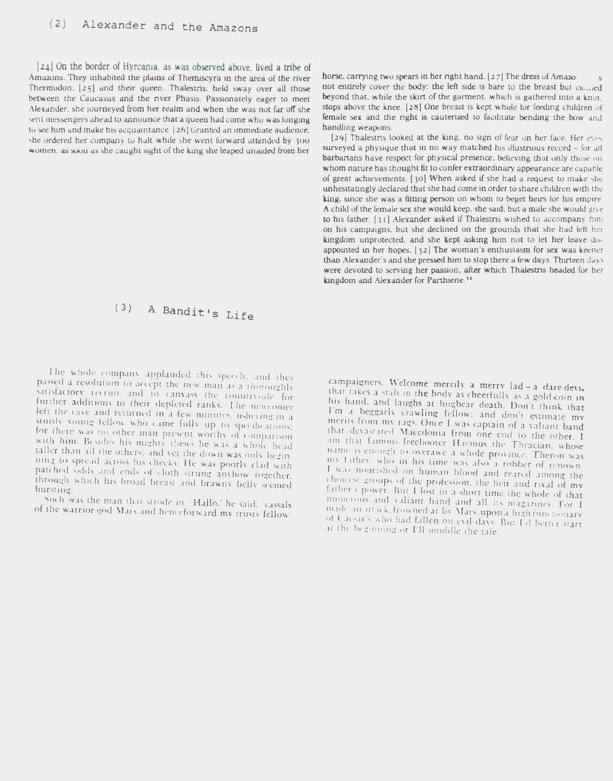[24] On the border of Hyrcania, as was observed above, lived a tribe of Amazons. They inhabited the plains of Themiscyra in the area of the river Thermodon, [25] and their queen. Thalestris, held sway over all those between the Caucasus and the river Phasis. Passionately eager to meet Alexander, she journeyed from her realm and when she was not far off she sent messengers ahead to announce that a queen had come who was longing to see him and make his acquaintance. [26] Granted an immediate audience, she ordered her company to halt while she went forward attended by 300 women; as soon as she caught sight of the king she leaped unaided from her

horse, carrying two spears in her right hand. [27] The dress of Amazonot entirely cover the body: the left side is bare to the breast but citized beyond that, while the skirt of the garment, which is gathered into a knot. stops above the knee. [28] One breast is kept whole for feeding children of female sex and the right is cauterized to facilitate bending the bow and handling weapons.

[29] Thalestris looked at the king, no sign of fear on her face. Her eves surveyed a physique that in no way matched his illustrious record - for all barbarians have respect for physical presence, believing that only those on whom nature has thought fit to confer extraordinary appearance are capable of great achievements. [30] When asked if she had a request to make she unhesitatingly declared that she had come in order to share children with the king, since she was a fitting person on whom to beget heirs for his empire. A child of the female sex she would keep, she said, but a male she would give to his father. [31] Alexander asked if Thalestris wished to accompany him on his campaigns, but she declined on the grounds that she had left her kingdom unprotected, and she kept asking him not to let her leave disappointed in her hopes,  $\lceil 32 \rceil$  The woman's enthusiasm for sex was keener than Alexander's and she pressed him to stop there a few days. Thirteen days were devoted to serving her passion, after which Thalestris headed for her kingdom and Alexander for Parthiene.<sup>32</sup>

## A Bandit's Life  $(3)$

The whole company applauded this speech, and they passed a resolution to accept the new man as a thoroughly satisfactory recruit and to canvass the countryside for further additions to their depleted ranks. The newcomer left the cave and returned in a few minutes, ushering-in a sturdy young fellow who came fully up to specifications: for there was no other man present worthy of comparison with him. Besides his mighty thens he was a whole head taller than all the others; and vet the down was only beginning to spread across his cheeks. He was poorly clad with patched odds and ends of cloth strung anyhow together. through which his broad breast and brawny belly seemed bursting.

Such was the man that strode in. 'Hallo,' he said, 'vassals of the warrior-god Mais and henceforward my trusty fellow-

campaigners. Welcome merrily a merry lad - a dare-devithat takes a stab in the body as cheerfully as a gold-coin in his hand, and laughs at bugbear death. Don't think that I'm a beggarly crawling fellow: and don't estimate my merits from my rags. Once I was captain of a valiant band that devastated Macedonia from one end to the other. I am that famous freehooter Haemus the Thracian, whose name is enough to overawe a whole province. Theron was my futher, who in his time was also a robber of renown. I was nourished on human blood and reared among the choicest groups of the profession, the heir and rival of my father's power. But I lost in a short time the whole of that numerous and valiant band and all its magazines. For I made an attack, frowned at by Mars, upon a high functionary of Caesar's who had fallen on evil days. But I'd better start at the beginning or I'll muddle the tale.